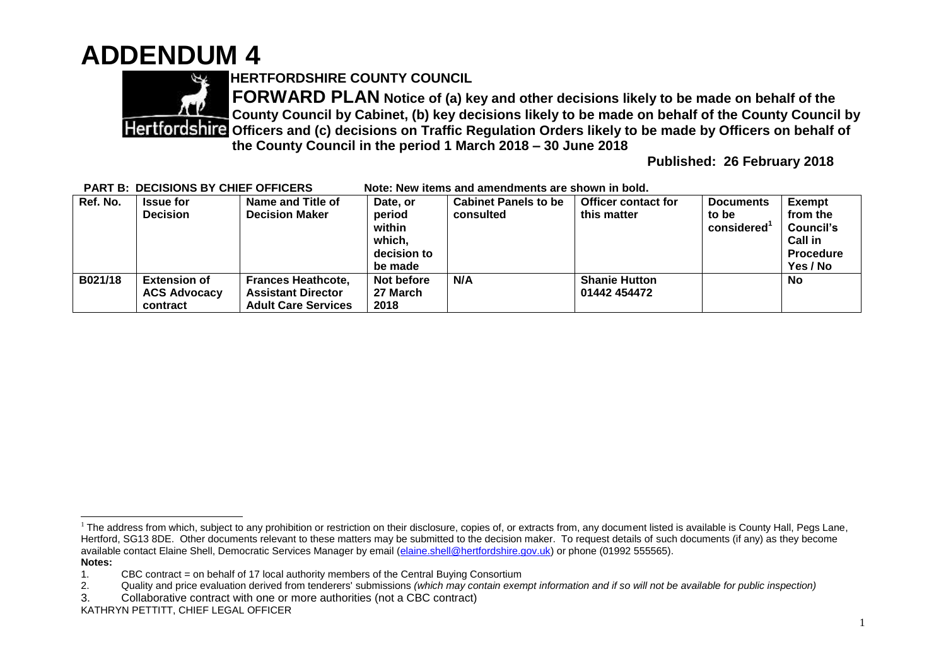## **ADDENDUM 4**



**HERTFORDSHIRE COUNTY COUNCIL**

**FORWARD PLAN Notice of (a) key and other decisions likely to be made on behalf of the County Council by Cabinet, (b) key decisions likely to be made on behalf of the County Council by Officers and (c) decisions on Traffic Regulation Orders likely to be made by Officers on behalf of the County Council in the period 1 March 2018 – 30 June 2018** 

**Published: 26 February 2018**

| FANT D. DECISIONS DT CHIEF OFFICENS |                                                        |                                                                                      | NOLE. NEW ILEIIIS AND AMENDMENTS ALE SHOWN IN DOID.  |                             |                                      |                     |                                                                         |
|-------------------------------------|--------------------------------------------------------|--------------------------------------------------------------------------------------|------------------------------------------------------|-----------------------------|--------------------------------------|---------------------|-------------------------------------------------------------------------|
| Ref. No.                            | <b>Issue for</b>                                       | Name and Title of                                                                    | Date, or                                             | <b>Cabinet Panels to be</b> | <b>Officer contact for</b>           | <b>Documents</b>    | <b>Exempt</b>                                                           |
|                                     | <b>Decision</b>                                        | <b>Decision Maker</b>                                                                | period<br>within<br>which,<br>decision to<br>be made | consulted                   | this matter                          | to be<br>considered | from the<br>Council's<br><b>Call in</b><br><b>Procedure</b><br>Yes / No |
| B021/18                             | <b>Extension of</b><br><b>ACS Advocacy</b><br>contract | <b>Frances Heathcote,</b><br><b>Assistant Director</b><br><b>Adult Care Services</b> | Not before<br>27 March<br>2018                       | N/A                         | <b>Shanie Hutton</b><br>01442 454472 |                     | No                                                                      |

**PART B: DECISIONS BY CHIEF OFFICERS Note: New items and amendments are shown in bold.**

 $\overline{a}$  $1$  The address from which, subject to any prohibition or restriction on their disclosure, copies of, or extracts from, any document listed is available is County Hall, Pegs Lane, Hertford, SG13 8DE. Other documents relevant to these matters may be submitted to the decision maker. To request details of such documents (if any) as they become available contact Elaine Shell, Democratic Services Manager by email [\(elaine.shell@hertfordshire.gov.uk\)](mailto:elaine.shell@hertfordshire.gov.uk) or phone (01992 555565). **Notes:** 

<sup>1.</sup> CBC contract = on behalf of 17 local authority members of the Central Buying Consortium

<sup>2.</sup> Quality and price evaluation derived from tenderers' submissions *(which may contain exempt information and if so will not be available for public inspection)*

<sup>3.</sup> Collaborative contract with one or more authorities (not a CBC contract)

KATHRYN PETTITT, CHIEF LEGAL OFFICER